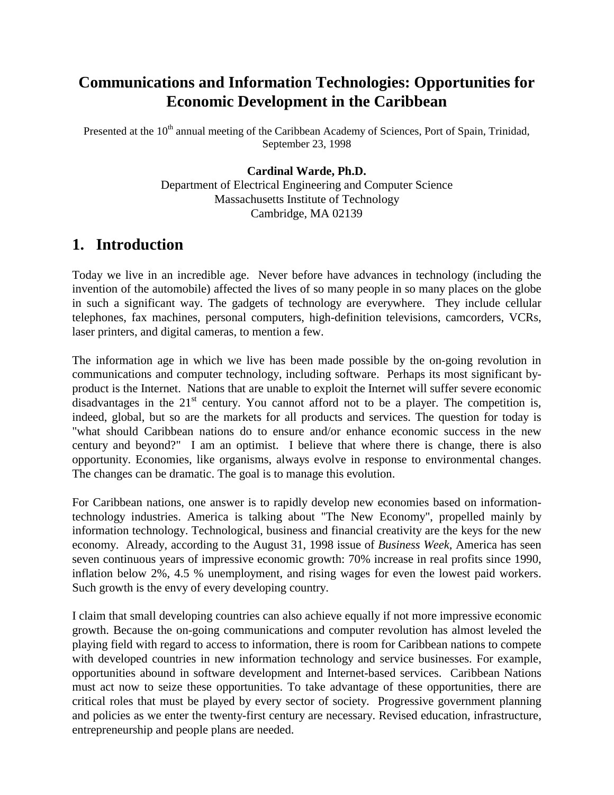# **Communications and Information Technologies: Opportunities for Economic Development in the Caribbean**

Presented at the 10<sup>th</sup> annual meeting of the Caribbean Academy of Sciences, Port of Spain, Trinidad, September 23, 1998

#### **Cardinal Warde, Ph.D.**

Department of Electrical Engineering and Computer Science Massachusetts Institute of Technology Cambridge, MA 02139

## **1. Introduction**

Today we live in an incredible age. Never before have advances in technology (including the invention of the automobile) affected the lives of so many people in so many places on the globe in such a significant way. The gadgets of technology are everywhere. They include cellular telephones, fax machines, personal computers, high-definition televisions, camcorders, VCRs, laser printers, and digital cameras, to mention a few.

The information age in which we live has been made possible by the on-going revolution in communications and computer technology, including software. Perhaps its most significant byproduct is the Internet. Nations that are unable to exploit the Internet will suffer severe economic disadvantages in the  $21<sup>st</sup>$  century. You cannot afford not to be a player. The competition is, indeed, global, but so are the markets for all products and services. The question for today is "what should Caribbean nations do to ensure and/or enhance economic success in the new century and beyond?" I am an optimist. I believe that where there is change, there is also opportunity. Economies, like organisms, always evolve in response to environmental changes. The changes can be dramatic. The goal is to manage this evolution.

For Caribbean nations, one answer is to rapidly develop new economies based on informationtechnology industries. America is talking about "The New Economy", propelled mainly by information technology. Technological, business and financial creativity are the keys for the new economy. Already, according to the August 31, 1998 issue of *Business Week,* America has seen seven continuous years of impressive economic growth: 70% increase in real profits since 1990, inflation below 2%, 4.5 % unemployment, and rising wages for even the lowest paid workers. Such growth is the envy of every developing country.

I claim that small developing countries can also achieve equally if not more impressive economic growth. Because the on-going communications and computer revolution has almost leveled the playing field with regard to access to information, there is room for Caribbean nations to compete with developed countries in new information technology and service businesses. For example, opportunities abound in software development and Internet-based services. Caribbean Nations must act now to seize these opportunities. To take advantage of these opportunities, there are critical roles that must be played by every sector of society. Progressive government planning and policies as we enter the twenty-first century are necessary. Revised education, infrastructure, entrepreneurship and people plans are needed.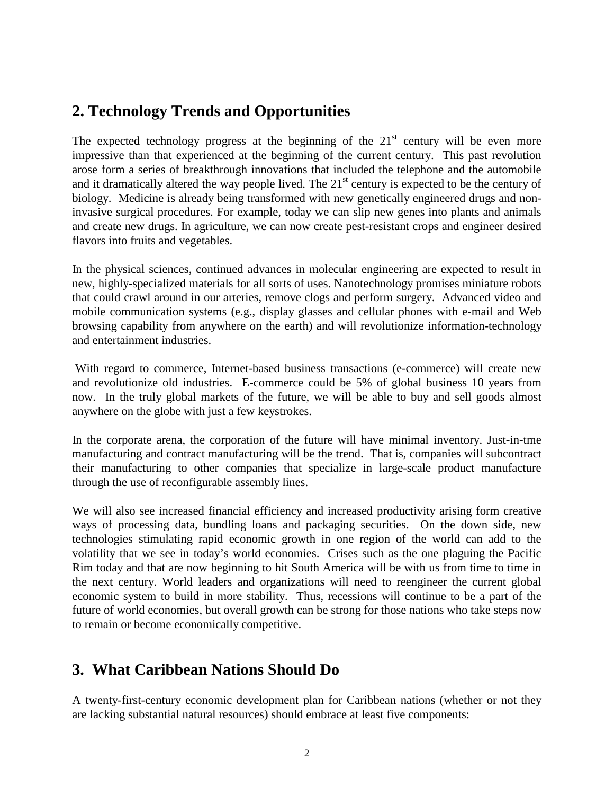## **2. Technology Trends and Opportunities**

The expected technology progress at the beginning of the  $21<sup>st</sup>$  century will be even more impressive than that experienced at the beginning of the current century. This past revolution arose form a series of breakthrough innovations that included the telephone and the automobile and it dramatically altered the way people lived. The  $21<sup>st</sup>$  century is expected to be the century of biology. Medicine is already being transformed with new genetically engineered drugs and noninvasive surgical procedures. For example, today we can slip new genes into plants and animals and create new drugs. In agriculture, we can now create pest-resistant crops and engineer desired flavors into fruits and vegetables.

In the physical sciences, continued advances in molecular engineering are expected to result in new, highly-specialized materials for all sorts of uses. Nanotechnology promises miniature robots that could crawl around in our arteries, remove clogs and perform surgery. Advanced video and mobile communication systems (e.g., display glasses and cellular phones with e-mail and Web browsing capability from anywhere on the earth) and will revolutionize information-technology and entertainment industries.

 With regard to commerce, Internet-based business transactions (e-commerce) will create new and revolutionize old industries. E-commerce could be 5% of global business 10 years from now. In the truly global markets of the future, we will be able to buy and sell goods almost anywhere on the globe with just a few keystrokes.

In the corporate arena, the corporation of the future will have minimal inventory. Just-in-tme manufacturing and contract manufacturing will be the trend. That is, companies will subcontract their manufacturing to other companies that specialize in large-scale product manufacture through the use of reconfigurable assembly lines.

We will also see increased financial efficiency and increased productivity arising form creative ways of processing data, bundling loans and packaging securities. On the down side, new technologies stimulating rapid economic growth in one region of the world can add to the volatility that we see in today's world economies. Crises such as the one plaguing the Pacific Rim today and that are now beginning to hit South America will be with us from time to time in the next century. World leaders and organizations will need to reengineer the current global economic system to build in more stability. Thus, recessions will continue to be a part of the future of world economies, but overall growth can be strong for those nations who take steps now to remain or become economically competitive.

## **3. What Caribbean Nations Should Do**

A twenty-first-century economic development plan for Caribbean nations (whether or not they are lacking substantial natural resources) should embrace at least five components: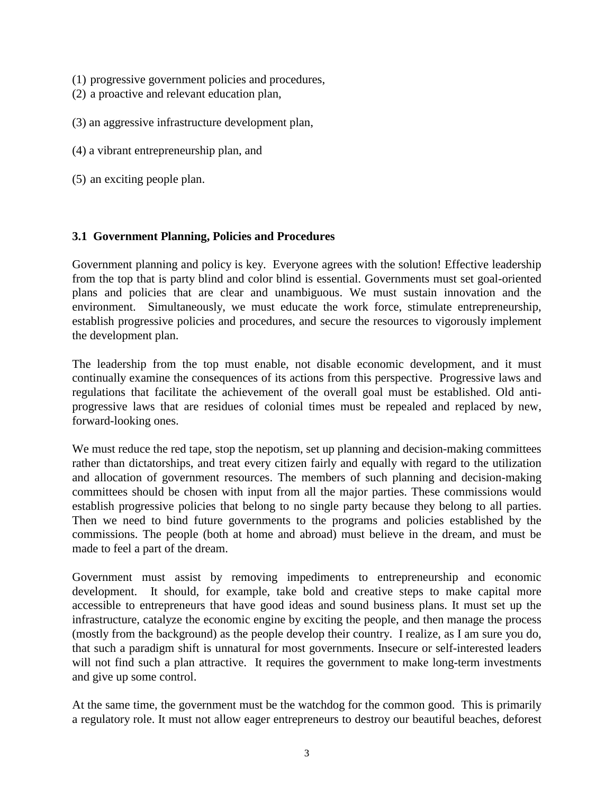- (1) progressive government policies and procedures,
- (2) a proactive and relevant education plan,
- (3) an aggressive infrastructure development plan,
- (4) a vibrant entrepreneurship plan, and
- (5) an exciting people plan.

#### **3.1 Government Planning, Policies and Procedures**

Government planning and policy is key. Everyone agrees with the solution! Effective leadership from the top that is party blind and color blind is essential. Governments must set goal-oriented plans and policies that are clear and unambiguous. We must sustain innovation and the environment. Simultaneously, we must educate the work force, stimulate entrepreneurship, establish progressive policies and procedures, and secure the resources to vigorously implement the development plan.

The leadership from the top must enable, not disable economic development, and it must continually examine the consequences of its actions from this perspective. Progressive laws and regulations that facilitate the achievement of the overall goal must be established. Old antiprogressive laws that are residues of colonial times must be repealed and replaced by new, forward-looking ones.

We must reduce the red tape, stop the nepotism, set up planning and decision-making committees rather than dictatorships, and treat every citizen fairly and equally with regard to the utilization and allocation of government resources. The members of such planning and decision-making committees should be chosen with input from all the major parties. These commissions would establish progressive policies that belong to no single party because they belong to all parties. Then we need to bind future governments to the programs and policies established by the commissions. The people (both at home and abroad) must believe in the dream, and must be made to feel a part of the dream.

Government must assist by removing impediments to entrepreneurship and economic development. It should, for example, take bold and creative steps to make capital more accessible to entrepreneurs that have good ideas and sound business plans. It must set up the infrastructure, catalyze the economic engine by exciting the people, and then manage the process (mostly from the background) as the people develop their country. I realize, as I am sure you do, that such a paradigm shift is unnatural for most governments. Insecure or self-interested leaders will not find such a plan attractive. It requires the government to make long-term investments and give up some control.

At the same time, the government must be the watchdog for the common good. This is primarily a regulatory role. It must not allow eager entrepreneurs to destroy our beautiful beaches, deforest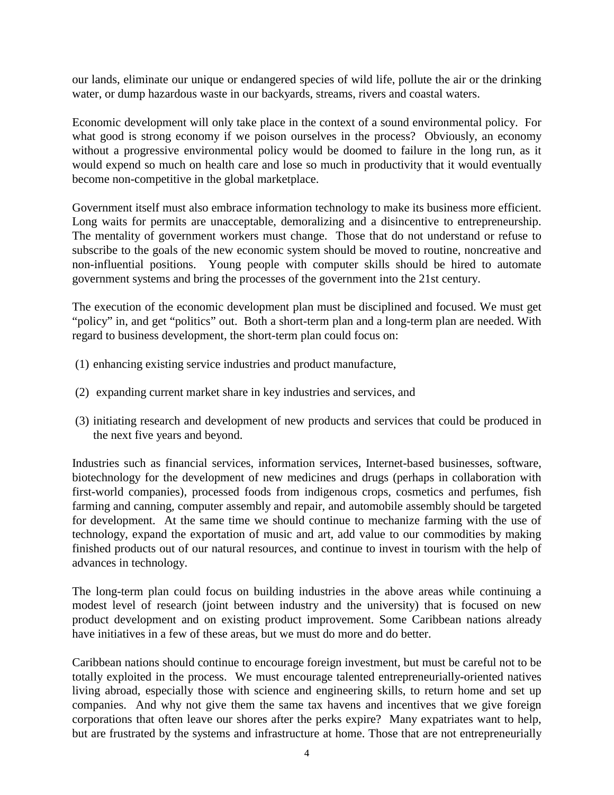our lands, eliminate our unique or endangered species of wild life, pollute the air or the drinking water, or dump hazardous waste in our backyards, streams, rivers and coastal waters.

Economic development will only take place in the context of a sound environmental policy. For what good is strong economy if we poison ourselves in the process? Obviously, an economy without a progressive environmental policy would be doomed to failure in the long run, as it would expend so much on health care and lose so much in productivity that it would eventually become non-competitive in the global marketplace.

Government itself must also embrace information technology to make its business more efficient. Long waits for permits are unacceptable, demoralizing and a disincentive to entrepreneurship. The mentality of government workers must change. Those that do not understand or refuse to subscribe to the goals of the new economic system should be moved to routine, noncreative and non-influential positions. Young people with computer skills should be hired to automate government systems and bring the processes of the government into the 21st century.

The execution of the economic development plan must be disciplined and focused. We must get "policy" in, and get "politics" out. Both a short-term plan and a long-term plan are needed. With regard to business development, the short-term plan could focus on:

- (1) enhancing existing service industries and product manufacture,
- (2) expanding current market share in key industries and services, and
- (3) initiating research and development of new products and services that could be produced in the next five years and beyond.

Industries such as financial services, information services, Internet-based businesses, software, biotechnology for the development of new medicines and drugs (perhaps in collaboration with first-world companies), processed foods from indigenous crops, cosmetics and perfumes, fish farming and canning, computer assembly and repair, and automobile assembly should be targeted for development. At the same time we should continue to mechanize farming with the use of technology, expand the exportation of music and art, add value to our commodities by making finished products out of our natural resources, and continue to invest in tourism with the help of advances in technology.

The long-term plan could focus on building industries in the above areas while continuing a modest level of research (joint between industry and the university) that is focused on new product development and on existing product improvement. Some Caribbean nations already have initiatives in a few of these areas, but we must do more and do better.

Caribbean nations should continue to encourage foreign investment, but must be careful not to be totally exploited in the process. We must encourage talented entrepreneurially-oriented natives living abroad, especially those with science and engineering skills, to return home and set up companies. And why not give them the same tax havens and incentives that we give foreign corporations that often leave our shores after the perks expire? Many expatriates want to help, but are frustrated by the systems and infrastructure at home. Those that are not entrepreneurially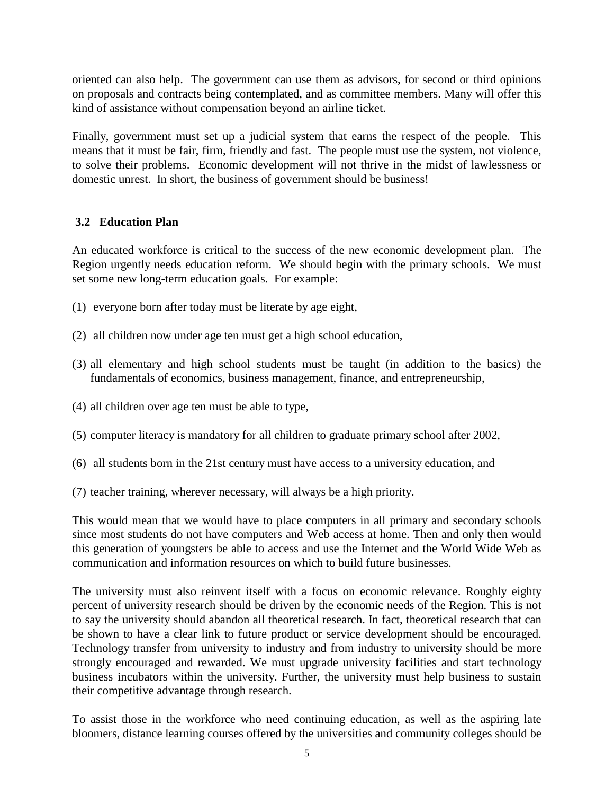oriented can also help. The government can use them as advisors, for second or third opinions on proposals and contracts being contemplated, and as committee members. Many will offer this kind of assistance without compensation beyond an airline ticket.

Finally, government must set up a judicial system that earns the respect of the people. This means that it must be fair, firm, friendly and fast. The people must use the system, not violence, to solve their problems. Economic development will not thrive in the midst of lawlessness or domestic unrest. In short, the business of government should be business!

### **3.2 Education Plan**

An educated workforce is critical to the success of the new economic development plan. The Region urgently needs education reform. We should begin with the primary schools. We must set some new long-term education goals. For example:

- (1) everyone born after today must be literate by age eight,
- (2) all children now under age ten must get a high school education,
- (3) all elementary and high school students must be taught (in addition to the basics) the fundamentals of economics, business management, finance, and entrepreneurship,
- (4) all children over age ten must be able to type,
- (5) computer literacy is mandatory for all children to graduate primary school after 2002,
- (6) all students born in the 21st century must have access to a university education, and
- (7) teacher training, wherever necessary, will always be a high priority.

This would mean that we would have to place computers in all primary and secondary schools since most students do not have computers and Web access at home. Then and only then would this generation of youngsters be able to access and use the Internet and the World Wide Web as communication and information resources on which to build future businesses.

The university must also reinvent itself with a focus on economic relevance. Roughly eighty percent of university research should be driven by the economic needs of the Region. This is not to say the university should abandon all theoretical research. In fact, theoretical research that can be shown to have a clear link to future product or service development should be encouraged. Technology transfer from university to industry and from industry to university should be more strongly encouraged and rewarded. We must upgrade university facilities and start technology business incubators within the university. Further, the university must help business to sustain their competitive advantage through research.

To assist those in the workforce who need continuing education, as well as the aspiring late bloomers, distance learning courses offered by the universities and community colleges should be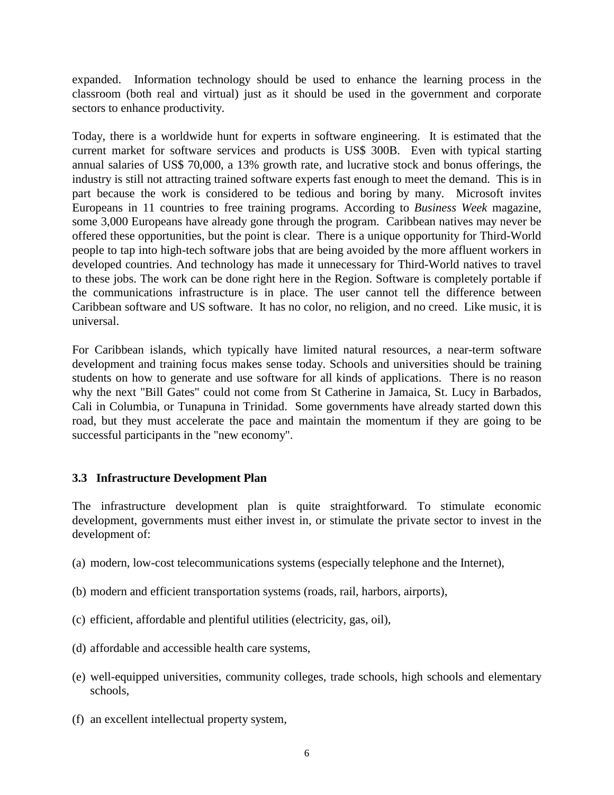expanded. Information technology should be used to enhance the learning process in the classroom (both real and virtual) just as it should be used in the government and corporate sectors to enhance productivity.

Today, there is a worldwide hunt for experts in software engineering. It is estimated that the current market for software services and products is US\$ 300B. Even with typical starting annual salaries of US\$ 70,000, a 13% growth rate, and lucrative stock and bonus offerings, the industry is still not attracting trained software experts fast enough to meet the demand. This is in part because the work is considered to be tedious and boring by many. Microsoft invites Europeans in 11 countries to free training programs. According to *Business Week* magazine, some 3,000 Europeans have already gone through the program. Caribbean natives may never be offered these opportunities, but the point is clear. There is a unique opportunity for Third-World people to tap into high-tech software jobs that are being avoided by the more affluent workers in developed countries. And technology has made it unnecessary for Third-World natives to travel to these jobs. The work can be done right here in the Region. Software is completely portable if the communications infrastructure is in place. The user cannot tell the difference between Caribbean software and US software. It has no color, no religion, and no creed. Like music, it is universal.

For Caribbean islands, which typically have limited natural resources, a near-term software development and training focus makes sense today. Schools and universities should be training students on how to generate and use software for all kinds of applications. There is no reason why the next "Bill Gates" could not come from St Catherine in Jamaica, St. Lucy in Barbados, Cali in Columbia, or Tunapuna in Trinidad. Some governments have already started down this road, but they must accelerate the pace and maintain the momentum if they are going to be successful participants in the "new economy".

### **3.3 Infrastructure Development Plan**

The infrastructure development plan is quite straightforward. To stimulate economic development, governments must either invest in, or stimulate the private sector to invest in the development of:

- (a) modern, low-cost telecommunications systems (especially telephone and the Internet),
- (b) modern and efficient transportation systems (roads, rail, harbors, airports),
- (c) efficient, affordable and plentiful utilities (electricity, gas, oil),
- (d) affordable and accessible health care systems,
- (e) well-equipped universities, community colleges, trade schools, high schools and elementary schools,
- (f) an excellent intellectual property system,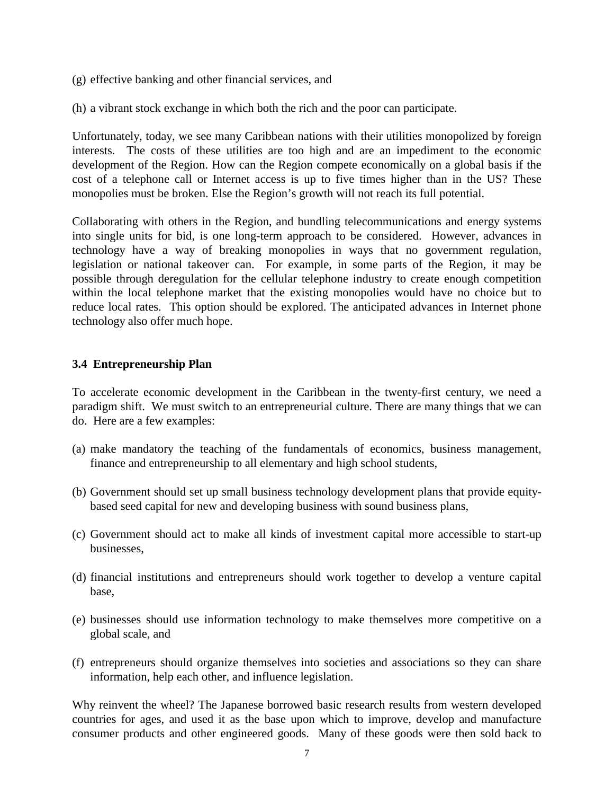- (g) effective banking and other financial services, and
- (h) a vibrant stock exchange in which both the rich and the poor can participate.

Unfortunately, today, we see many Caribbean nations with their utilities monopolized by foreign interests. The costs of these utilities are too high and are an impediment to the economic development of the Region. How can the Region compete economically on a global basis if the cost of a telephone call or Internet access is up to five times higher than in the US? These monopolies must be broken. Else the Region's growth will not reach its full potential.

Collaborating with others in the Region, and bundling telecommunications and energy systems into single units for bid, is one long-term approach to be considered. However, advances in technology have a way of breaking monopolies in ways that no government regulation, legislation or national takeover can. For example, in some parts of the Region, it may be possible through deregulation for the cellular telephone industry to create enough competition within the local telephone market that the existing monopolies would have no choice but to reduce local rates. This option should be explored. The anticipated advances in Internet phone technology also offer much hope.

#### **3.4 Entrepreneurship Plan**

To accelerate economic development in the Caribbean in the twenty-first century, we need a paradigm shift. We must switch to an entrepreneurial culture. There are many things that we can do. Here are a few examples:

- (a) make mandatory the teaching of the fundamentals of economics, business management, finance and entrepreneurship to all elementary and high school students,
- (b) Government should set up small business technology development plans that provide equitybased seed capital for new and developing business with sound business plans,
- (c) Government should act to make all kinds of investment capital more accessible to start-up businesses,
- (d) financial institutions and entrepreneurs should work together to develop a venture capital base,
- (e) businesses should use information technology to make themselves more competitive on a global scale, and
- (f) entrepreneurs should organize themselves into societies and associations so they can share information, help each other, and influence legislation.

Why reinvent the wheel? The Japanese borrowed basic research results from western developed countries for ages, and used it as the base upon which to improve, develop and manufacture consumer products and other engineered goods. Many of these goods were then sold back to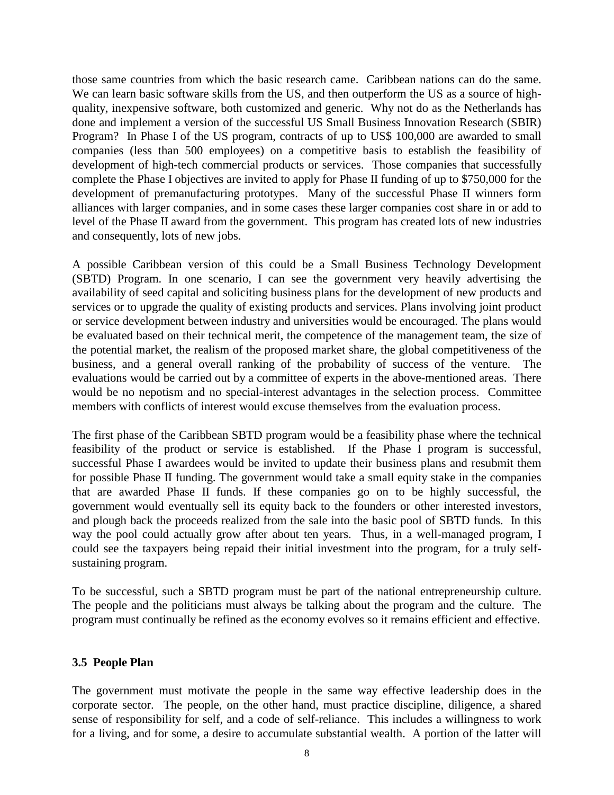those same countries from which the basic research came. Caribbean nations can do the same. We can learn basic software skills from the US, and then outperform the US as a source of highquality, inexpensive software, both customized and generic. Why not do as the Netherlands has done and implement a version of the successful US Small Business Innovation Research (SBIR) Program? In Phase I of the US program, contracts of up to US\$ 100,000 are awarded to small companies (less than 500 employees) on a competitive basis to establish the feasibility of development of high-tech commercial products or services. Those companies that successfully complete the Phase I objectives are invited to apply for Phase II funding of up to \$750,000 for the development of premanufacturing prototypes. Many of the successful Phase II winners form alliances with larger companies, and in some cases these larger companies cost share in or add to level of the Phase II award from the government. This program has created lots of new industries and consequently, lots of new jobs.

A possible Caribbean version of this could be a Small Business Technology Development (SBTD) Program. In one scenario, I can see the government very heavily advertising the availability of seed capital and soliciting business plans for the development of new products and services or to upgrade the quality of existing products and services. Plans involving joint product or service development between industry and universities would be encouraged. The plans would be evaluated based on their technical merit, the competence of the management team, the size of the potential market, the realism of the proposed market share, the global competitiveness of the business, and a general overall ranking of the probability of success of the venture. The evaluations would be carried out by a committee of experts in the above-mentioned areas. There would be no nepotism and no special-interest advantages in the selection process. Committee members with conflicts of interest would excuse themselves from the evaluation process.

The first phase of the Caribbean SBTD program would be a feasibility phase where the technical feasibility of the product or service is established. If the Phase I program is successful, successful Phase I awardees would be invited to update their business plans and resubmit them for possible Phase II funding. The government would take a small equity stake in the companies that are awarded Phase II funds. If these companies go on to be highly successful, the government would eventually sell its equity back to the founders or other interested investors, and plough back the proceeds realized from the sale into the basic pool of SBTD funds. In this way the pool could actually grow after about ten years. Thus, in a well-managed program, I could see the taxpayers being repaid their initial investment into the program, for a truly selfsustaining program.

To be successful, such a SBTD program must be part of the national entrepreneurship culture. The people and the politicians must always be talking about the program and the culture. The program must continually be refined as the economy evolves so it remains efficient and effective.

#### **3.5 People Plan**

The government must motivate the people in the same way effective leadership does in the corporate sector. The people, on the other hand, must practice discipline, diligence, a shared sense of responsibility for self, and a code of self-reliance. This includes a willingness to work for a living, and for some, a desire to accumulate substantial wealth. A portion of the latter will